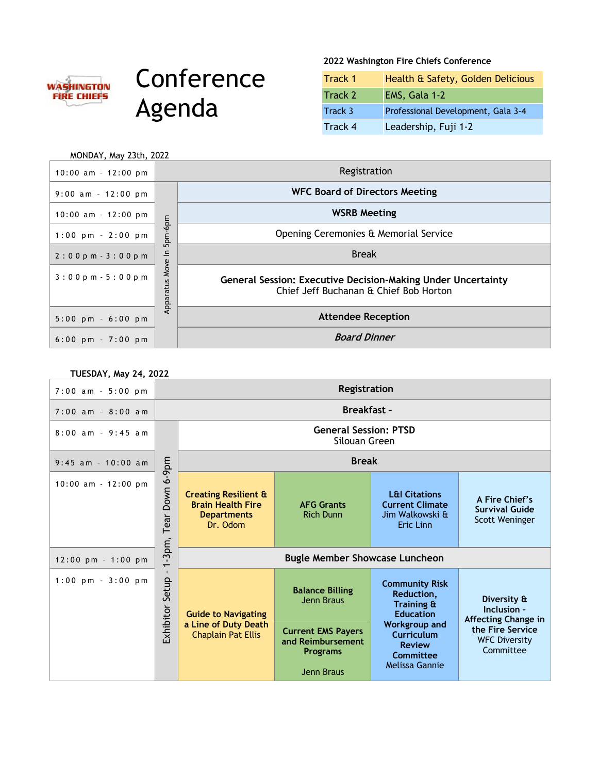

## **Conference** Agenda

## **2022 Washington Fire Chiefs Conference**

| Track 1 | Health & Safety, Golden Delicious  |
|---------|------------------------------------|
| Track 2 | EMS, Gala 1-2                      |
| Track 3 | Professional Development, Gala 3-4 |
| Track 4 | Leadership, Fuji 1-2               |

| MONDAY, May 23th, 2022               |                   |                                                                                                               |
|--------------------------------------|-------------------|---------------------------------------------------------------------------------------------------------------|
| $10:00$ am - $12:00$ pm              |                   | Registration                                                                                                  |
| $9:00$ am - 12:00 pm                 |                   | <b>WFC Board of Directors Meeting</b>                                                                         |
| $10:00$ am - 12:00 pm                |                   | <b>WSRB Meeting</b>                                                                                           |
| $1:00 \text{ pm } - 2:00 \text{ pm}$ | -6pm<br>5pm-      | Opening Ceremonies & Memorial Service                                                                         |
| $2:00$ pm $-3:00$ pm                 | 드                 | <b>Break</b>                                                                                                  |
| $3:00$ pm $-5:00$ pm                 | Move<br>Apparatus | <b>General Session: Executive Decision-Making Under Uncertainty</b><br>Chief Jeff Buchanan & Chief Bob Horton |
| $5:00$ pm - $6:00$ pm                |                   | <b>Attendee Reception</b>                                                                                     |
| $6:00$ pm $-7:00$ pm                 |                   | <b>Board Dinner</b>                                                                                           |

| <b>TUESDAY, May 24, 2022</b> |                                                   |                                                                                               |                                                                                    |                                                                                    |                                                           |
|------------------------------|---------------------------------------------------|-----------------------------------------------------------------------------------------------|------------------------------------------------------------------------------------|------------------------------------------------------------------------------------|-----------------------------------------------------------|
| $7:00$ am - $5:00$ pm        |                                                   | Registration                                                                                  |                                                                                    |                                                                                    |                                                           |
| $7:00$ am - 8:00 am          |                                                   | <b>Breakfast -</b>                                                                            |                                                                                    |                                                                                    |                                                           |
| $8:00$ am - 9:45 am          |                                                   | <b>General Session: PTSD</b><br>Silouan Green                                                 |                                                                                    |                                                                                    |                                                           |
| $9:45$ am - 10:00 am         |                                                   | <b>Break</b>                                                                                  |                                                                                    |                                                                                    |                                                           |
| $10:00$ am $-12:00$ pm       | $6-9$ pm<br>Down<br>Tear                          | <b>Creating Resilient &amp;</b><br><b>Brain Health Fire</b><br><b>Departments</b><br>Dr. Odom | <b>AFG Grants</b><br><b>Rich Dunn</b>                                              | <b>L&amp;I Citations</b><br><b>Current Climate</b><br>Jim Walkowski &<br>Eric Linn | A Fire Chief's<br><b>Survival Guide</b><br>Scott Weninger |
| $12:00$ pm - 1:00 pm         | -3pm,<br>$\overline{\phantom{0}}$                 | <b>Bugle Member Showcase Luncheon</b>                                                         |                                                                                    |                                                                                    |                                                           |
| $1:00$ pm - $3:00$ pm        | Setup                                             | <b>Guide to Navigating</b>                                                                    | <b>Balance Billing</b><br>Jenn Braus                                               | <b>Community Risk</b><br>Reduction,<br>Training &<br><b>Education</b>              | Diversity &<br>Inclusion -<br><b>Affecting Change in</b>  |
| <b>Exhibitor</b>             | a Line of Duty Death<br><b>Chaplain Pat Ellis</b> | <b>Current EMS Payers</b><br>and Reimbursement<br><b>Programs</b><br>Jenn Braus               | <b>Workgroup and</b><br>Curriculum<br><b>Review</b><br>Committee<br>Melissa Gannie | the Fire Service<br><b>WFC Diversity</b><br>Committee                              |                                                           |